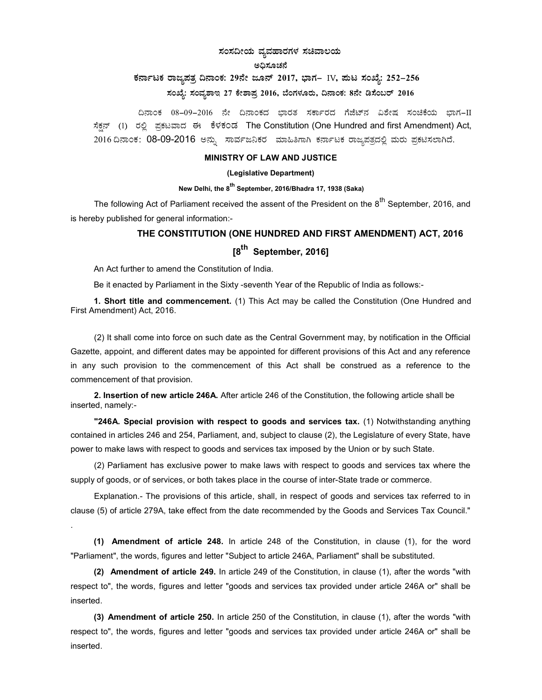### ಸಂಸದೀಯ ವ್ಯವಹಾರಗಳ ಸಚಿವಾಲಯ

#### ಅಧಿಸೂಚನೆ

# ಕರ್ನಾಟಕ ರಾಜ್ಯಪತ್ರ ದಿನಾಂಕ: 29ನೇ ಜೂನ್ 2017, ಭಾಗ– IV, ಮಟ ಸಂಖ್ಯೆ: 252-256

# ಸಂಖ್ಯೆ: ಸಂವ್ಯಶಾಇ 27 ಕೇಶಾಪ್ರ 2016, ಬೆಂಗಳೂರು, ದಿನಾಂಕ: 8ನೇ ಡಿಸೆಂಬರ್ 2016

ದಿನಾಂಕ 08–09–2016 ನೇ ದಿನಾಂಕದ ಭಾರತ ಸರ್ಕಾರದ ಗೆಜೆಟ್**ನ ವಿಶೇಷ ಸಂಚಿಕೆಯ ಭಾಗ**−II ಸೆಕ್ಷನ್ (1) ರಲ್ಲಿ ಪ್ರಕಟವಾದ ಈ ಕೆಳಕಂಡ The Constitution (One Hundred and first Amendment) Act, 2016 ದಿನಾಂಕ: 08-09-2016 ಅನ್ನು ಸಾರ್ವಜನಿಕರ ಮಾಹಿತಿಗಾಗಿ ಕರ್ನಾಟಕ ರಾಜ್ಯಪತ್ರದಲ್ಲಿ ಮರು ಪ್ರಕಟಿಸಲಾಗಿದೆ.

#### MINISTRY OF LAW AND JUSTICE

#### (Legislative Department)

#### New Delhi, the 8<sup>th</sup> September, 2016/Bhadra 17, 1938 (Saka)

The following Act of Parliament received the assent of the President on the 8<sup>th</sup> September, 2016, and is hereby published for general information:-

# THE CONSTITUTION (ONE HUNDRED AND FIRST AMENDMENT) ACT, 2016

# [8<sup>th</sup> September, 2016]

An Act further to amend the Constitution of India.

.

Be it enacted by Parliament in the Sixty -seventh Year of the Republic of India as follows:-

1. Short title and commencement. (1) This Act may be called the Constitution (One Hundred and First Amendment) Act, 2016.

(2) It shall come into force on such date as the Central Government may, by notification in the Official Gazette, appoint, and different dates may be appointed for different provisions of this Act and any reference in any such provision to the commencement of this Act shall be construed as a reference to the commencement of that provision.

2. Insertion of new article 246A. After article 246 of the Constitution, the following article shall be inserted, namely:-

"246A. Special provision with respect to goods and services tax. (1) Notwithstanding anything contained in articles 246 and 254, Parliament, and, subject to clause (2), the Legislature of every State, have power to make laws with respect to goods and services tax imposed by the Union or by such State.

(2) Parliament has exclusive power to make laws with respect to goods and services tax where the supply of goods, or of services, or both takes place in the course of inter-State trade or commerce.

Explanation.- The provisions of this article, shall, in respect of goods and services tax referred to in clause (5) of article 279A, take effect from the date recommended by the Goods and Services Tax Council."

(1) Amendment of article 248. In article 248 of the Constitution, in clause (1), for the word "Parliament", the words, figures and letter "Subject to article 246A, Parliament" shall be substituted.

(2) Amendment of article 249. In article 249 of the Constitution, in clause (1), after the words "with respect to", the words, figures and letter "goods and services tax provided under article 246A or" shall be inserted.

(3) Amendment of article 250. In article 250 of the Constitution, in clause (1), after the words "with respect to", the words, figures and letter "goods and services tax provided under article 246A or" shall be inserted.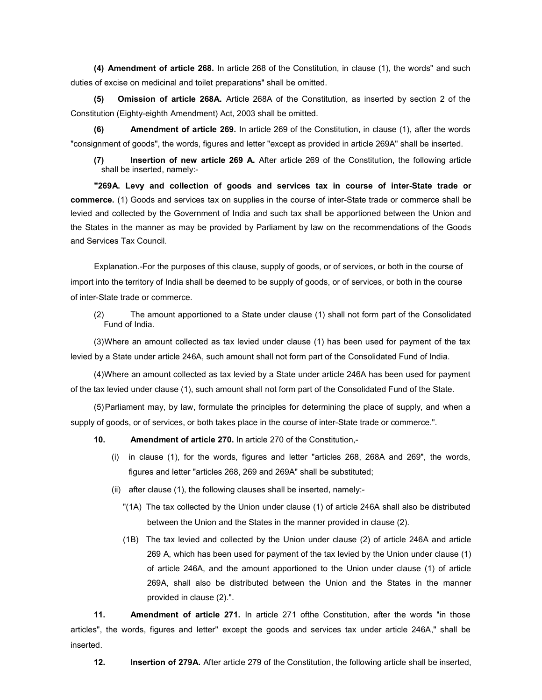(4) Amendment of article 268. In article 268 of the Constitution, in clause (1), the words" and such duties of excise on medicinal and toilet preparations" shall be omitted.

(5) Omission of article 268A. Article 268A of the Constitution, as inserted by section 2 of the Constitution (Eighty-eighth Amendment) Act, 2003 shall be omitted.

(6) Amendment of article 269. In article 269 of the Constitution, in clause (1), after the words "consignment of goods", the words, figures and letter "except as provided in article 269A" shall be inserted.

Insertion of new article 269 A. After article 269 of the Constitution, the following article shall be inserted, namely:-

"269A. Levy and collection of goods and services tax in course of inter-State trade or commerce. (1) Goods and services tax on supplies in the course of inter-State trade or commerce shall be levied and collected by the Government of India and such tax shall be apportioned between the Union and the States in the manner as may be provided by Parliament by law on the recommendations of the Goods and Services Tax Council.

Explanation.-For the purposes of this clause, supply of goods, or of services, or both in the course of import into the territory of India shall be deemed to be supply of goods, or of services, or both in the course of inter-State trade or commerce.

(2) The amount apportioned to a State under clause (1) shall not form part of the Consolidated Fund of India.

(3) Where an amount collected as tax levied under clause (1) has been used for payment of the tax levied by a State under article 246A, such amount shall not form part of the Consolidated Fund of India.

(4) Where an amount collected as tax levied by a State under article 246A has been used for payment of the tax levied under clause (1), such amount shall not form part of the Consolidated Fund of the State.

(5) Parliament may, by law, formulate the principles for determining the place of supply, and when a supply of goods, or of services, or both takes place in the course of inter-State trade or commerce.".

- 10. Amendment of article 270. In article 270 of the Constitution,-
	- (i) in clause (1), for the words, figures and letter "articles 268, 268A and 269", the words, figures and letter "articles 268, 269 and 269A" shall be substituted;
	- (ii) after clause (1), the following clauses shall be inserted, namely:-
		- "(1A) The tax collected by the Union under clause (1) of article 246A shall also be distributed between the Union and the States in the manner provided in clause (2).
		- (1B) The tax levied and collected by the Union under clause (2) of article 246A and article 269 A, which has been used for payment of the tax levied by the Union under clause (1) of article 246A, and the amount apportioned to the Union under clause (1) of article 269A, shall also be distributed between the Union and the States in the manner provided in clause (2).".

11. Amendment of article 271. In article 271 ofthe Constitution, after the words "in those articles", the words, figures and letter" except the goods and services tax under article 246A," shall be inserted.

12. Insertion of 279A. After article 279 of the Constitution, the following article shall be inserted,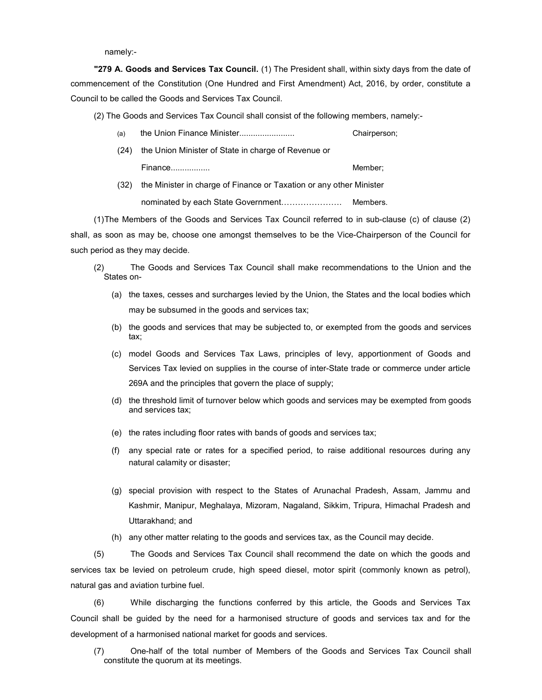namely:-

"279 A. Goods and Services Tax Council. (1) The President shall, within sixty days from the date of commencement of the Constitution (One Hundred and First Amendment) Act, 2016, by order, constitute a Council to be called the Goods and Services Tax Council.

(2) The Goods and Services Tax Council shall consist of the following members, namely:-

- (a) the Union Finance Minister........................ Chairperson;
- (24) the Union Minister of State in charge of Revenue or Finance................. Member;
- (32) the Minister in charge of Finance or Taxation or any other Minister nominated by each State Government…………………. Members.

(1) The Members of the Goods and Services Tax Council referred to in sub-clause (c) of clause (2) shall, as soon as may be, choose one amongst themselves to be the Vice-Chairperson of the Council for such period as they may decide.

- (2) The Goods and Services Tax Council shall make recommendations to the Union and the States on-
	- (a) the taxes, cesses and surcharges levied by the Union, the States and the local bodies which may be subsumed in the goods and services tax;
	- (b) the goods and services that may be subjected to, or exempted from the goods and services tax;
	- (c) model Goods and Services Tax Laws, principles of levy, apportionment of Goods and Services Tax levied on supplies in the course of inter-State trade or commerce under article 269A and the principles that govern the place of supply;
	- (d) the threshold limit of turnover below which goods and services may be exempted from goods and services tax;
	- (e) the rates including floor rates with bands of goods and services tax;
	- (f) any special rate or rates for a specified period, to raise additional resources during any natural calamity or disaster;
	- (g) special provision with respect to the States of Arunachal Pradesh, Assam, Jammu and Kashmir, Manipur, Meghalaya, Mizoram, Nagaland, Sikkim, Tripura, Himachal Pradesh and Uttarakhand; and
	- (h) any other matter relating to the goods and services tax, as the Council may decide.

(5) The Goods and Services Tax Council shall recommend the date on which the goods and services tax be levied on petroleum crude, high speed diesel, motor spirit (commonly known as petrol), natural gas and aviation turbine fuel.

(6) While discharging the functions conferred by this article, the Goods and Services Tax Council shall be guided by the need for a harmonised structure of goods and services tax and for the development of a harmonised national market for goods and services.

(7) One-half of the total number of Members of the Goods and Services Tax Council shall constitute the quorum at its meetings.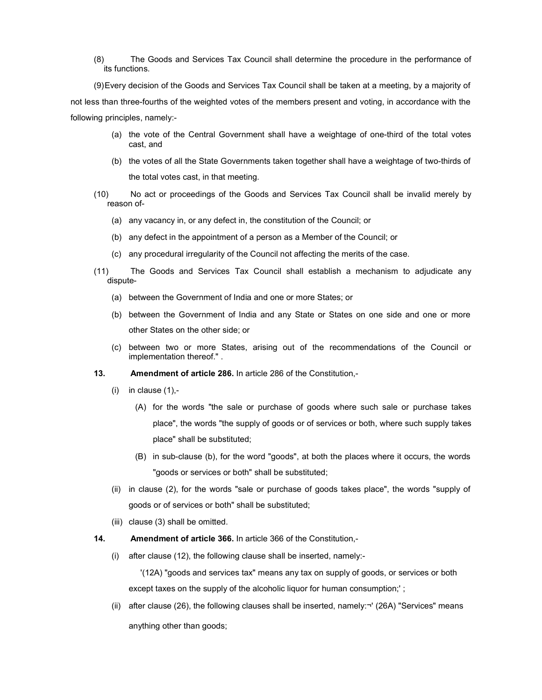(8) The Goods and Services Tax Council shall determine the procedure in the performance of its functions.

(9) Every decision of the Goods and Services Tax Council shall be taken at a meeting, by a majority of not less than three-fourths of the weighted votes of the members present and voting, in accordance with the following principles, namely:-

- (a) the vote of the Central Government shall have a weightage of one-third of the total votes cast, and
- (b) the votes of all the State Governments taken together shall have a weightage of two-thirds of the total votes cast, in that meeting.
- (10) No act or proceedings of the Goods and Services Tax Council shall be invalid merely by reason of-
	- (a) any vacancy in, or any defect in, the constitution of the Council; or
	- (b) any defect in the appointment of a person as a Member of the Council; or
	- (c) any procedural irregularity of the Council not affecting the merits of the case.
- (11) The Goods and Services Tax Council shall establish a mechanism to adjudicate any dispute-
	- (a) between the Government of India and one or more States; or
	- (b) between the Government of India and any State or States on one side and one or more other States on the other side; or
	- (c) between two or more States, arising out of the recommendations of the Council or implementation thereof." .
- 13. Amendment of article 286. In article 286 of the Constitution,-
	- $(i)$  in clause  $(1)$ ,-
		- (A) for the words "the sale or purchase of goods where such sale or purchase takes place", the words "the supply of goods or of services or both, where such supply takes place" shall be substituted;
		- (B) in sub-clause (b), for the word "goods", at both the places where it occurs, the words "goods or services or both" shall be substituted;
	- (ii) in clause (2), for the words "sale or purchase of goods takes place", the words "supply of goods or of services or both" shall be substituted;
	- (iii) clause (3) shall be omitted.
- 14. Amendment of article 366. In article 366 of the Constitution,-
	- (i) after clause (12), the following clause shall be inserted, namely:-

'(12A) "goods and services tax" means any tax on supply of goods, or services or both except taxes on the supply of the alcoholic liquor for human consumption;';

(ii) after clause (26), the following clauses shall be inserted, namely:¬' (26A) "Services" means anything other than goods;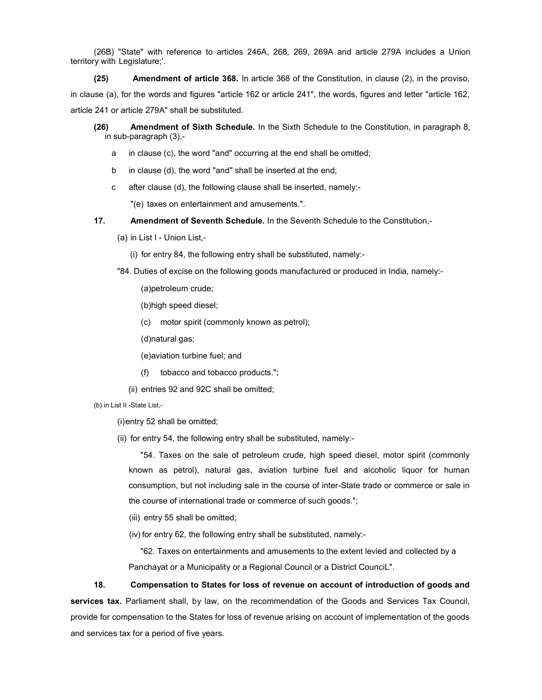(26B) "State" with reference to articles 246A, 268, 269, 269A and article 279A includes a Union territory with Legislature;'.

(25) Amendment of article 368. In article 368 of the Constitution, in clause (2), in the proviso, in clause (a), for the words and figures "article 162 or article 241", the words, figures and letter "article 162, article 241 or article 279A" shall be substituted.

- (26) Amendment of Sixth Schedule. In the Sixth Schedule to the Constitution, in paragraph 8, in sub-paragraph (3),
	- a in clause (c), the word "and" occurring at the end shall be omitted;
	- b in clause (d), the word "and" shall be inserted at the end;
	- c after clause (d), the following clause shall be inserted, namely:-

"(e) taxes on entertainment and amusements.".

17. Amendment of Seventh Schedule. In the Seventh Schedule to the Constitution,-

(a) in List I - Union List,-

(i) for entry 84, the following entry shall be substituted, namely:-

"84. Duties of excise on the following goods manufactured or produced in India, namely:-

(a) petroleum crude;

(b) high speed diesel;

(c) motor spirit (commonly known as petrol);

(d) natural gas;

(e) aviation turbine fuel; and

- (f) tobacco and tobacco products.";
- (ii) entries 92 and 92C shall be omitted;

(b) in List II -State List,-

(i) entry 52 shall be omitted;

(ii) for entry 54, the following entry shall be substituted, namely:-

"54. Taxes on the sale of petroleum crude, high speed diesel, motor spirit (commonly known as petrol), natural gas, aviation turbine fuel and alcoholic liquor for human consumption, but not including sale in the course of inter-State trade or commerce or sale in the course of international trade or commerce of such goods.";

(iii) entry 55 shall be omitted;

(iv) for entry 62, the following entry shall be substituted, namely:-

"62. Taxes on entertainments and amusements to the extent levied and collected by a Panchayat or a Municipality or a Regional Council or a District CounciL".

# 18. Compensation to States for loss of revenue on account of introduction of goods and

services tax. Parliament shall, by law, on the recommendation of the Goods and Services Tax Council, provide for compensation to the States for loss of revenue arising on account of implementation of the goods and services tax for a period of five years.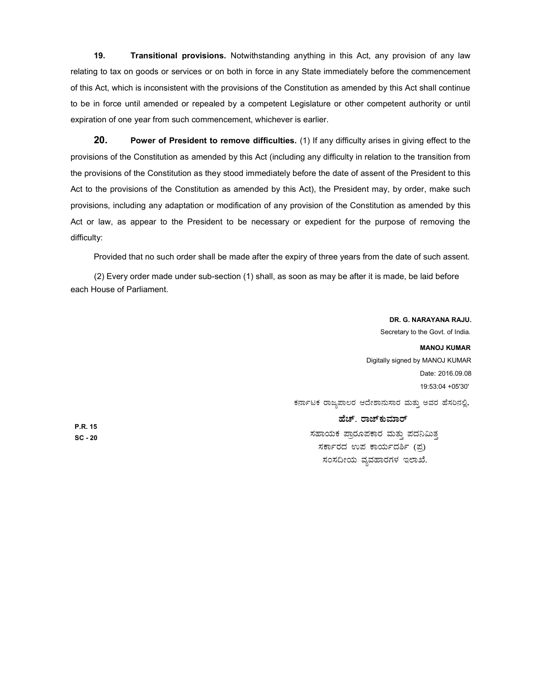19. Transitional provisions. Notwithstanding anything in this Act, any provision of any law relating to tax on goods or services or on both in force in any State immediately before the commencement of this Act, which is inconsistent with the provisions of the Constitution as amended by this Act shall continue to be in force until amended or repealed by a competent Legislature or other competent authority or until expiration of one year from such commencement, whichever is earlier.

20. Power of President to remove difficulties. (1) If any difficulty arises in giving effect to the provisions of the Constitution as amended by this Act (including any difficulty in relation to the transition from the provisions of the Constitution as they stood immediately before the date of assent of the President to this Act to the provisions of the Constitution as amended by this Act), the President may, by order, make such provisions, including any adaptation or modification of any provision of the Constitution as amended by this Act or law, as appear to the President to be necessary or expedient for the purpose of removing the difficulty:

Provided that no such order shall be made after the expiry of three years from the date of such assent.

(2) Every order made under sub-section (1) shall, as soon as may be after it is made, be laid before each House of Parliament.

### DR. G. NARAYANA RAJU. Secretary to the Govt. of India.

## MANOJ KUMAR

Digitally signed by MANOJ KUMAR Date: 2016.09.08 19:53:04 +05'30'

ಕರ್ನಾಟಕ ರಾಜ್ಯಪಾಲರ ಆದೇಶಾನುಸಾರ ಮತ್ತು ಅವರ ಹೆಸರಿನಲ್ಲಿ,

### ಹೆಚ್. ರಾಜ್ ಕುಮಾರ್

ಸಹಾಯಕ ಪ್ರಾರೂಪಕಾರ ಮತ್ತು ಪದನಿಮಿತ್ತ ಸರ್ಕಾರದ ಉಪ ಕಾರ್ಯದರ್ಶಿ (ಪ್ಪ) ಸಂಸದೀಯ ವ್ಯವಹಾರಗಳ ಇಲಾಖೆ.

P.R. 15 SC - 20